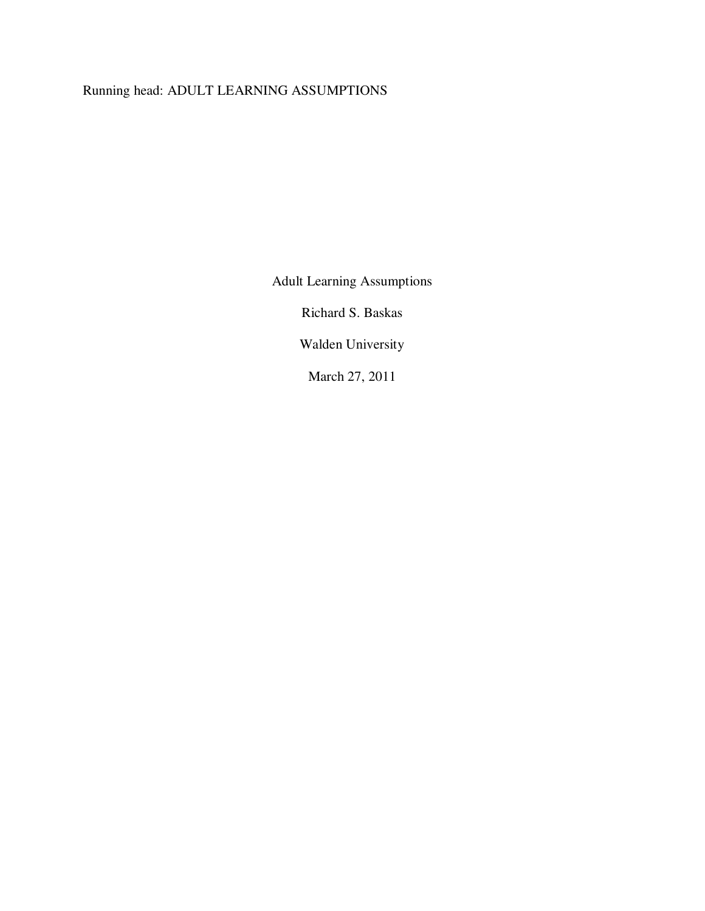# Running head: ADULT LEARNING ASSUMPTIONS

Adult Learning Assumptions

Richard S. Baskas

Walden University

March 27, 2011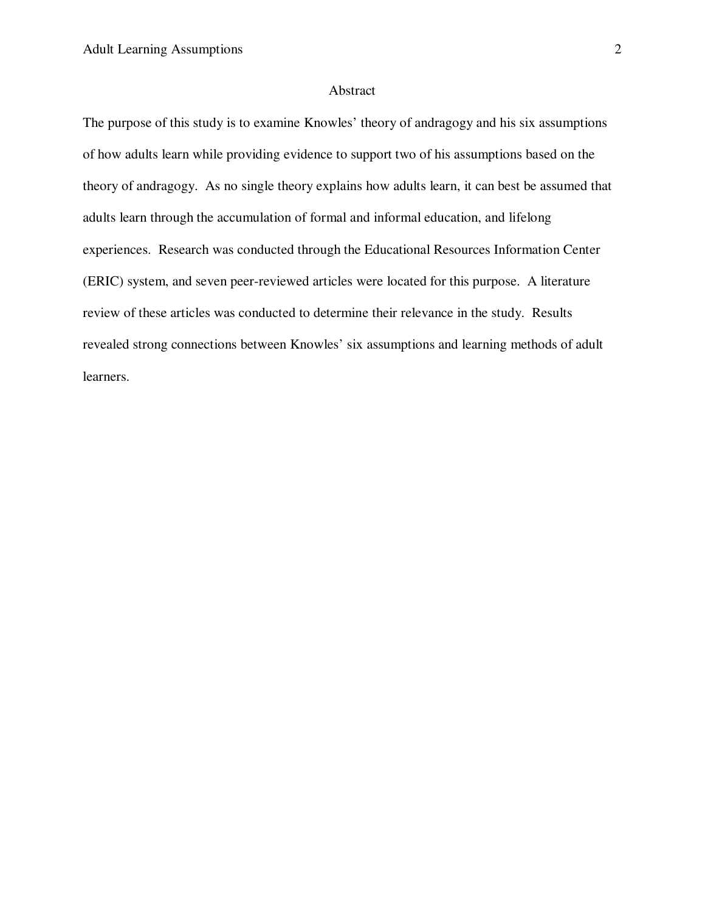## Abstract

The purpose of this study is to examine Knowles' theory of andragogy and his six assumptions of how adults learn while providing evidence to support two of his assumptions based on the theory of andragogy. As no single theory explains how adults learn, it can best be assumed that adults learn through the accumulation of formal and informal education, and lifelong experiences. Research was conducted through the Educational Resources Information Center (ERIC) system, and seven peer-reviewed articles were located for this purpose. A literature review of these articles was conducted to determine their relevance in the study. Results revealed strong connections between Knowles' six assumptions and learning methods of adult learners.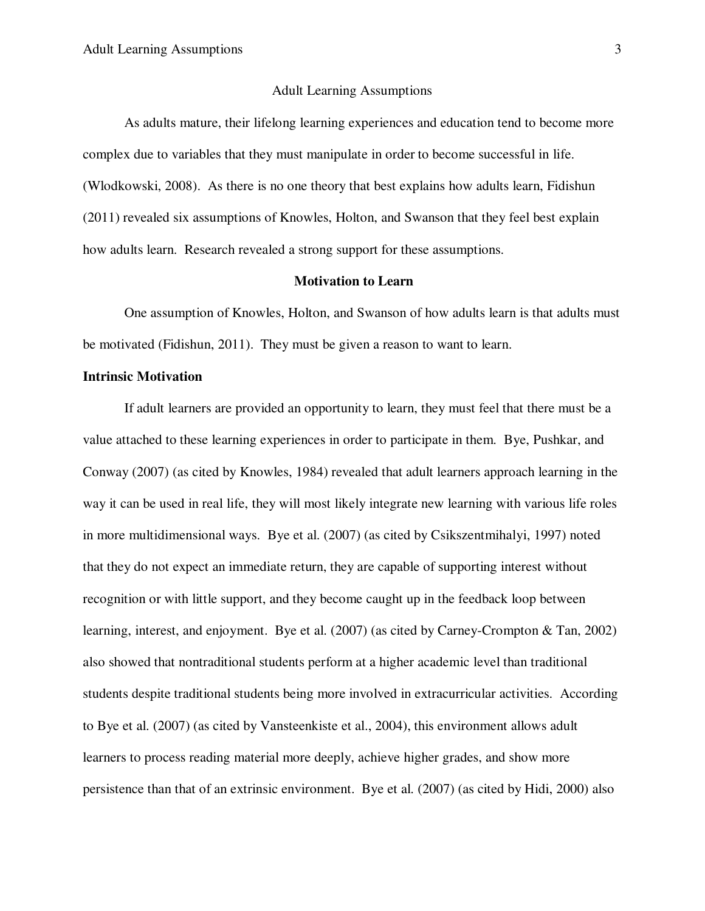#### Adult Learning Assumptions

As adults mature, their lifelong learning experiences and education tend to become more complex due to variables that they must manipulate in order to become successful in life. (Wlodkowski, 2008). As there is no one theory that best explains how adults learn, Fidishun (2011) revealed six assumptions of Knowles, Holton, and Swanson that they feel best explain how adults learn. Research revealed a strong support for these assumptions.

### **Motivation to Learn**

 One assumption of Knowles, Holton, and Swanson of how adults learn is that adults must be motivated (Fidishun, 2011). They must be given a reason to want to learn.

#### **Intrinsic Motivation**

If adult learners are provided an opportunity to learn, they must feel that there must be a value attached to these learning experiences in order to participate in them. Bye, Pushkar, and Conway (2007) (as cited by Knowles, 1984) revealed that adult learners approach learning in the way it can be used in real life, they will most likely integrate new learning with various life roles in more multidimensional ways. Bye et al. (2007) (as cited by Csikszentmihalyi, 1997) noted that they do not expect an immediate return, they are capable of supporting interest without recognition or with little support, and they become caught up in the feedback loop between learning, interest, and enjoyment. Bye et al. (2007) (as cited by Carney-Crompton & Tan, 2002) also showed that nontraditional students perform at a higher academic level than traditional students despite traditional students being more involved in extracurricular activities. According to Bye et al. (2007) (as cited by Vansteenkiste et al., 2004), this environment allows adult learners to process reading material more deeply, achieve higher grades, and show more persistence than that of an extrinsic environment. Bye et al. (2007) (as cited by Hidi, 2000) also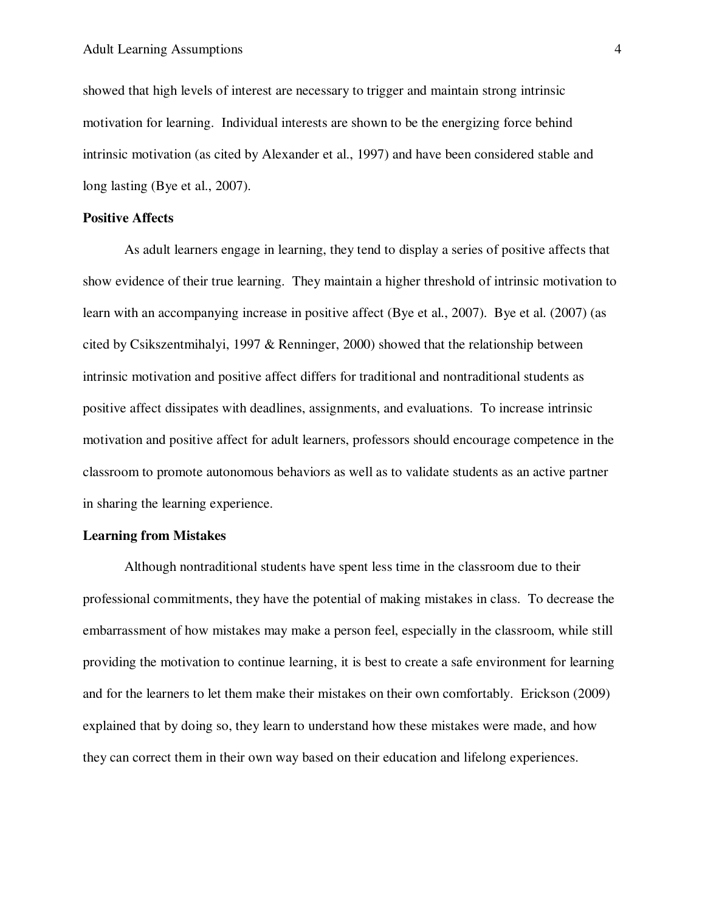showed that high levels of interest are necessary to trigger and maintain strong intrinsic motivation for learning. Individual interests are shown to be the energizing force behind intrinsic motivation (as cited by Alexander et al., 1997) and have been considered stable and long lasting (Bye et al., 2007).

### **Positive Affects**

As adult learners engage in learning, they tend to display a series of positive affects that show evidence of their true learning. They maintain a higher threshold of intrinsic motivation to learn with an accompanying increase in positive affect (Bye et al., 2007). Bye et al. (2007) (as cited by Csikszentmihalyi, 1997 & Renninger, 2000) showed that the relationship between intrinsic motivation and positive affect differs for traditional and nontraditional students as positive affect dissipates with deadlines, assignments, and evaluations. To increase intrinsic motivation and positive affect for adult learners, professors should encourage competence in the classroom to promote autonomous behaviors as well as to validate students as an active partner in sharing the learning experience.

#### **Learning from Mistakes**

Although nontraditional students have spent less time in the classroom due to their professional commitments, they have the potential of making mistakes in class. To decrease the embarrassment of how mistakes may make a person feel, especially in the classroom, while still providing the motivation to continue learning, it is best to create a safe environment for learning and for the learners to let them make their mistakes on their own comfortably. Erickson (2009) explained that by doing so, they learn to understand how these mistakes were made, and how they can correct them in their own way based on their education and lifelong experiences.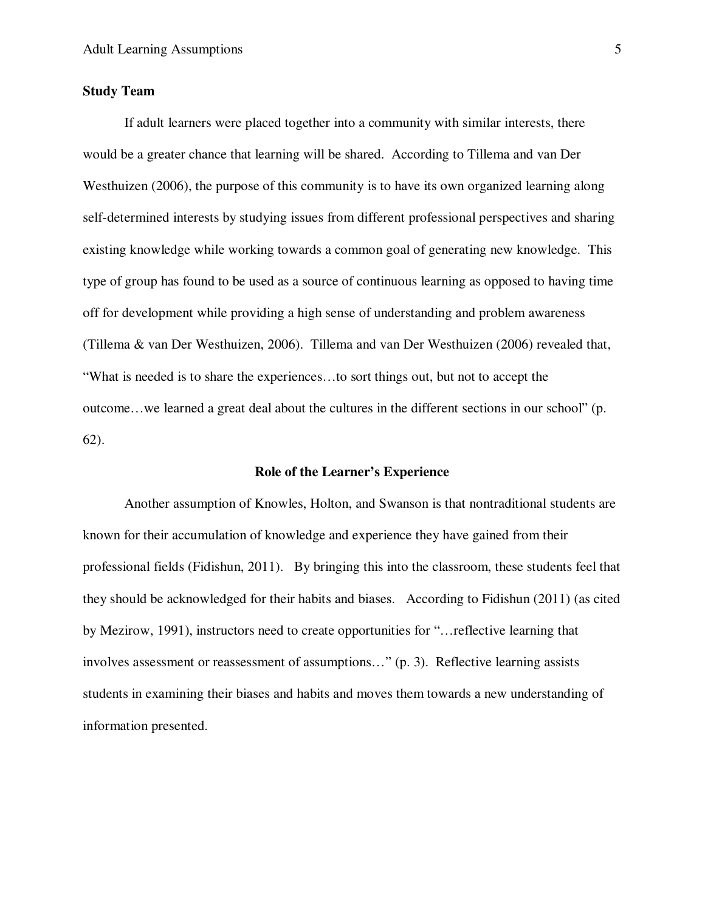### **Study Team**

 If adult learners were placed together into a community with similar interests, there would be a greater chance that learning will be shared. According to Tillema and van Der Westhuizen (2006), the purpose of this community is to have its own organized learning along self-determined interests by studying issues from different professional perspectives and sharing existing knowledge while working towards a common goal of generating new knowledge. This type of group has found to be used as a source of continuous learning as opposed to having time off for development while providing a high sense of understanding and problem awareness (Tillema & van Der Westhuizen, 2006). Tillema and van Der Westhuizen (2006) revealed that, "What is needed is to share the experiences…to sort things out, but not to accept the outcome…we learned a great deal about the cultures in the different sections in our school" (p. 62).

#### **Role of the Learner's Experience**

Another assumption of Knowles, Holton, and Swanson is that nontraditional students are known for their accumulation of knowledge and experience they have gained from their professional fields (Fidishun, 2011). By bringing this into the classroom, these students feel that they should be acknowledged for their habits and biases. According to Fidishun (2011) (as cited by Mezirow, 1991), instructors need to create opportunities for "…reflective learning that involves assessment or reassessment of assumptions…" (p. 3). Reflective learning assists students in examining their biases and habits and moves them towards a new understanding of information presented.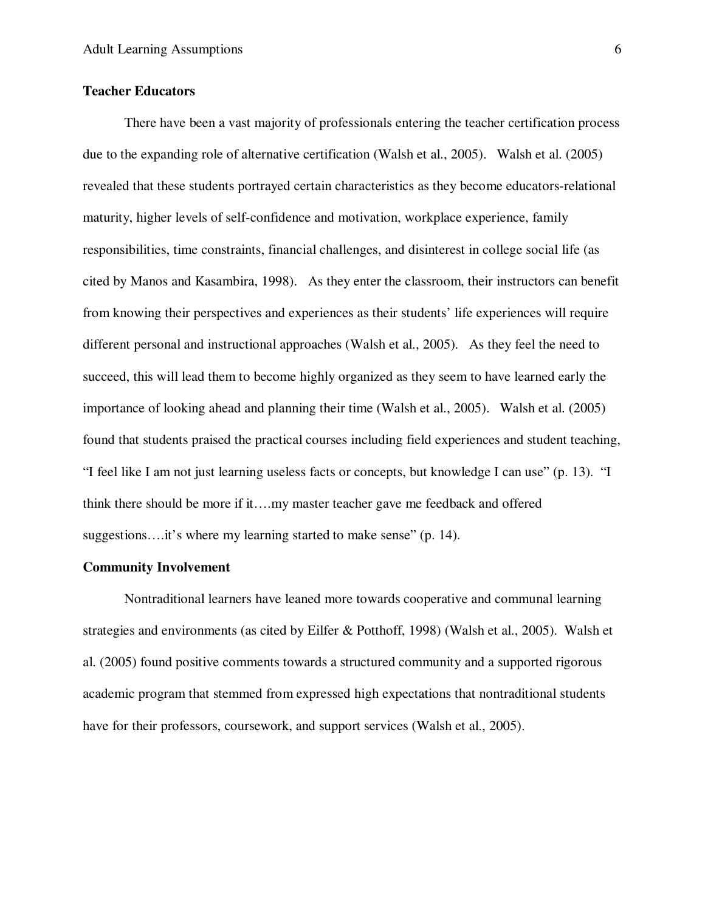## **Teacher Educators**

 There have been a vast majority of professionals entering the teacher certification process due to the expanding role of alternative certification (Walsh et al., 2005). Walsh et al. (2005) revealed that these students portrayed certain characteristics as they become educators-relational maturity, higher levels of self-confidence and motivation, workplace experience, family responsibilities, time constraints, financial challenges, and disinterest in college social life (as cited by Manos and Kasambira, 1998). As they enter the classroom, their instructors can benefit from knowing their perspectives and experiences as their students' life experiences will require different personal and instructional approaches (Walsh et al., 2005). As they feel the need to succeed, this will lead them to become highly organized as they seem to have learned early the importance of looking ahead and planning their time (Walsh et al., 2005). Walsh et al. (2005) found that students praised the practical courses including field experiences and student teaching, "I feel like I am not just learning useless facts or concepts, but knowledge I can use" (p. 13). "I think there should be more if it….my master teacher gave me feedback and offered suggestions.... it's where my learning started to make sense" (p. 14).

### **Community Involvement**

Nontraditional learners have leaned more towards cooperative and communal learning strategies and environments (as cited by Eilfer & Potthoff, 1998) (Walsh et al., 2005). Walsh et al. (2005) found positive comments towards a structured community and a supported rigorous academic program that stemmed from expressed high expectations that nontraditional students have for their professors, coursework, and support services (Walsh et al., 2005).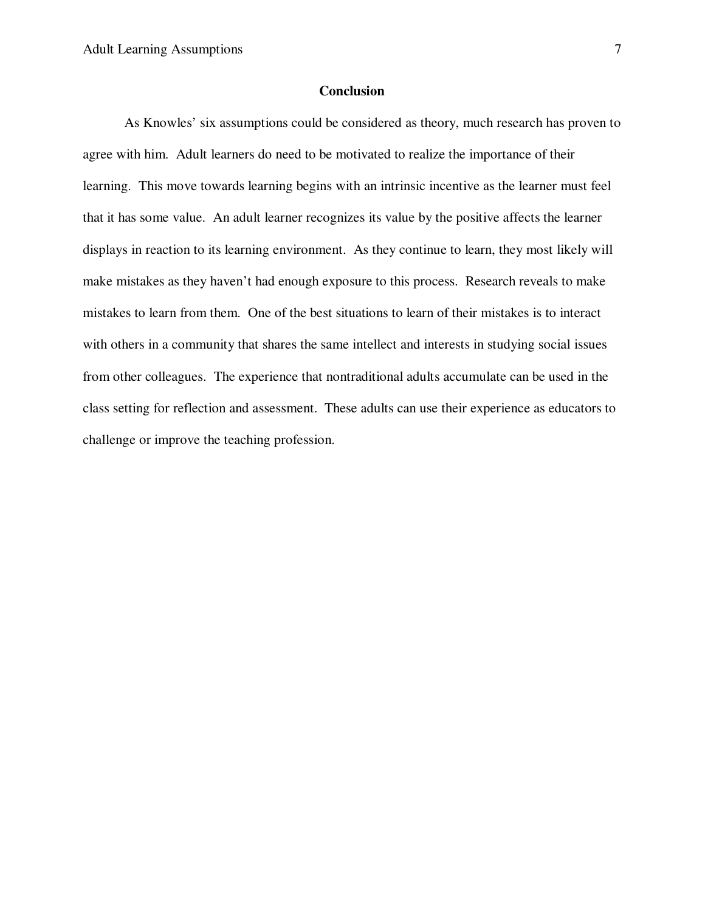## **Conclusion**

 As Knowles' six assumptions could be considered as theory, much research has proven to agree with him. Adult learners do need to be motivated to realize the importance of their learning. This move towards learning begins with an intrinsic incentive as the learner must feel that it has some value. An adult learner recognizes its value by the positive affects the learner displays in reaction to its learning environment. As they continue to learn, they most likely will make mistakes as they haven't had enough exposure to this process. Research reveals to make mistakes to learn from them. One of the best situations to learn of their mistakes is to interact with others in a community that shares the same intellect and interests in studying social issues from other colleagues. The experience that nontraditional adults accumulate can be used in the class setting for reflection and assessment. These adults can use their experience as educators to challenge or improve the teaching profession.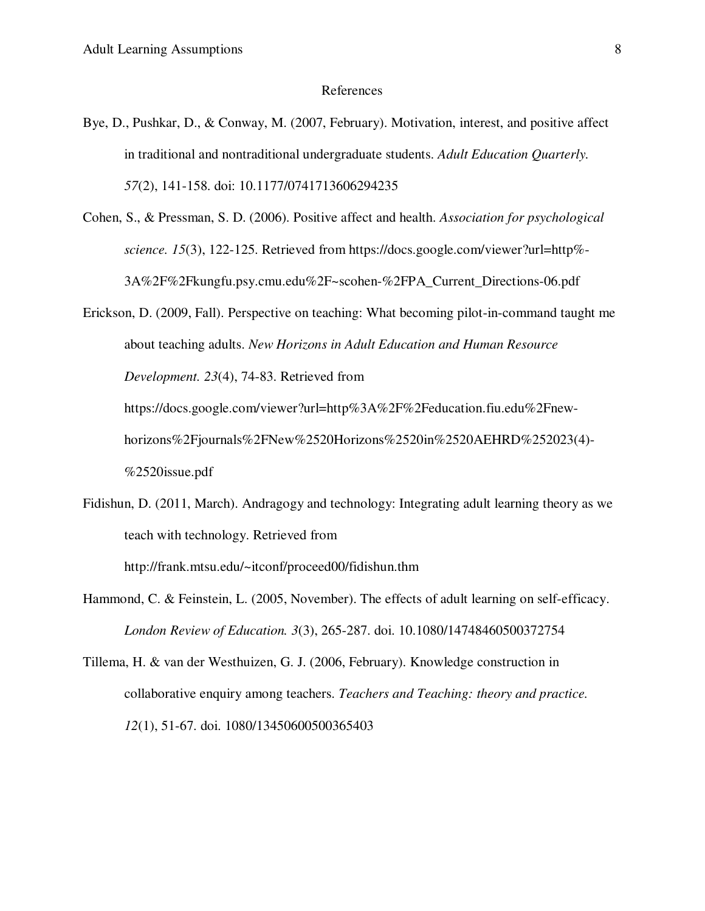#### References

- Bye, D., Pushkar, D., & Conway, M. (2007, February). Motivation, interest, and positive affect in traditional and nontraditional undergraduate students. *Adult Education Quarterly. 57*(2), 141-158. doi: 10.1177/0741713606294235
- Cohen, S., & Pressman, S. D. (2006). Positive affect and health. *Association for psychological science. 15*(3), 122-125. Retrieved from https://docs.google.com/viewer?url=http%- 3A%2F%2Fkungfu.psy.cmu.edu%2F~scohen-%2FPA\_Current\_Directions-06.pdf
- Erickson, D. (2009, Fall). Perspective on teaching: What becoming pilot-in-command taught me about teaching adults. *New Horizons in Adult Education and Human Resource Development. 23*(4), 74-83. Retrieved from https://docs.google.com/viewer?url=http%3A%2F%2Feducation.fiu.edu%2Fnewhorizons%2Fjournals%2FNew%2520Horizons%2520in%2520AEHRD%252023(4)- %2520issue.pdf
- Fidishun, D. (2011, March). Andragogy and technology: Integrating adult learning theory as we teach with technology. Retrieved from

http://frank.mtsu.edu/~itconf/proceed00/fidishun.thm

- Hammond, C. & Feinstein, L. (2005, November). The effects of adult learning on self-efficacy. *London Review of Education. 3*(3), 265-287. doi. 10.1080/14748460500372754
- Tillema, H. & van der Westhuizen, G. J. (2006, February). Knowledge construction in collaborative enquiry among teachers. *Teachers and Teaching: theory and practice. 12*(1), 51-67. doi. 1080/13450600500365403